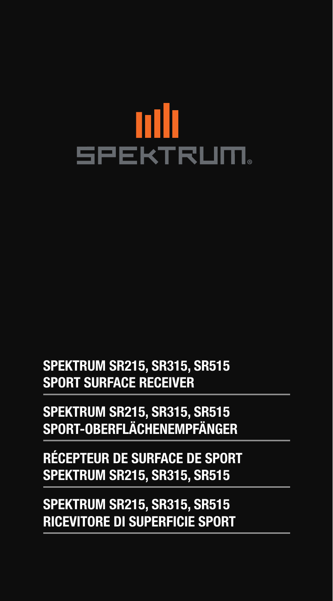# пII **SPEKTRUM**

**SPEKTRUM SR215, SR315, SR515 SPORT SURFACE RECEIVER**

**SPEKTRUM SR215, SR315, SR515 SPORT-OBERFLÄCHENEMPFÄNGER**

**RÉCEPTEUR DE SURFACE DE SPORT SPEKTRUM SR215, SR315, SR515**

**SPEKTRUM SR215, SR315, SR515 RICEVITORE DI SUPERFICIE SPORT**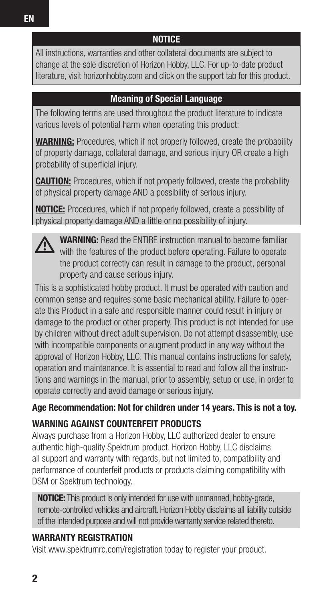## **NOTICE**

All instructions, warranties and other collateral documents are subject to change at the sole discretion of Horizon Hobby, LLC. For up-to-date product literature, visit horizonhobby.com and click on the support tab for this product.

## **Meaning of Special Language**

The following terms are used throughout the product literature to indicate various levels of potential harm when operating this product:

**WARNING:** Procedures, which if not properly followed, create the probability of property damage, collateral damage, and serious injury OR create a high probability of superficial injury.

**CAUTION:** Procedures, which if not properly followed, create the probability of physical property damage AND a possibility of serious injury.

**NOTICE:** Procedures, which if not properly followed, create a possibility of physical property damage AND a little or no possibility of injury.

**WARNING:** Read the ENTIRE instruction manual to become familiar with the features of the product before operating. Failure to operate the product correctly can result in damage to the product, personal property and cause serious injury.

This is a sophisticated hobby product. It must be operated with caution and common sense and requires some basic mechanical ability. Failure to operate this Product in a safe and responsible manner could result in injury or damage to the product or other property. This product is not intended for use by children without direct adult supervision. Do not attempt disassembly, use with incompatible components or augment product in any way without the approval of Horizon Hobby, LLC. This manual contains instructions for safety, operation and maintenance. It is essential to read and follow all the instructions and warnings in the manual, prior to assembly, setup or use, in order to operate correctly and avoid damage or serious injury.

**Age Recommendation: Not for children under 14 years. This is not a toy.**

## **WARNING AGAINST COUNTERFEIT PRODUCTS**

Always purchase from a Horizon Hobby, LLC authorized dealer to ensure authentic high-quality Spektrum product. Horizon Hobby, LLC disclaims all support and warranty with regards, but not limited to, compatibility and performance of counterfeit products or products claiming compatibility with DSM or Spektrum technology.

**NOTICE:** This product is only intended for use with unmanned, hobby-grade, remote-controlled vehicles and aircraft. Horizon Hobby disclaims all liability outside of the intended purpose and will not provide warranty service related thereto.

### **WARRANTY REGISTRATION**

Visit www.spektrumrc.com/registration today to register your product.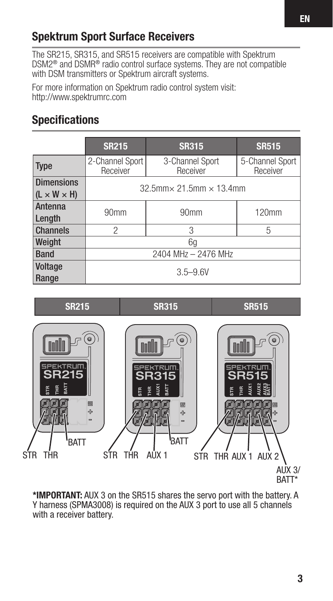# **Spektrum Sport Surface Receivers**

The SR215, SR315, and SR515 receivers are compatible with Spektrum DSM2® and DSMR® radio control surface systems. They are not compatible with DSM transmitters or Spektrum aircraft systems.

For more information on Spektrum radio control system visit: http://www.spektrumrc.com

# **Specifications**

|                                              | <b>SR215</b>                              | <b>SR315</b>                | <b>SR515</b>                |  |
|----------------------------------------------|-------------------------------------------|-----------------------------|-----------------------------|--|
| <b>Type</b>                                  | 2-Channel Sport<br>Receiver               | 3-Channel Sport<br>Receiver | 5-Channel Sport<br>Receiver |  |
| <b>Dimensions</b><br>$(L \times W \times H)$ | $32.5$ mm $\times$ 21.5mm $\times$ 13.4mm |                             |                             |  |
| Antenna<br>Length                            | 90 <sub>mm</sub>                          | 90 <sub>mm</sub>            | 120mm                       |  |
| <b>Channels</b>                              | 2                                         | 3                           | 5                           |  |
| Weight                                       | 6q                                        |                             |                             |  |
| <b>Band</b>                                  | 2404 MHz - 2476 MHz                       |                             |                             |  |
| Voltage<br>Range                             | $3.5 - 9.6V$                              |                             |                             |  |

**SR215 SR315 SR515**



**\*IMPORTANT:** AUX 3 on the SR515 shares the servo port with the battery. A Y harness (SPMA3008) is required on the AUX 3 port to use all 5 channels with a receiver battery.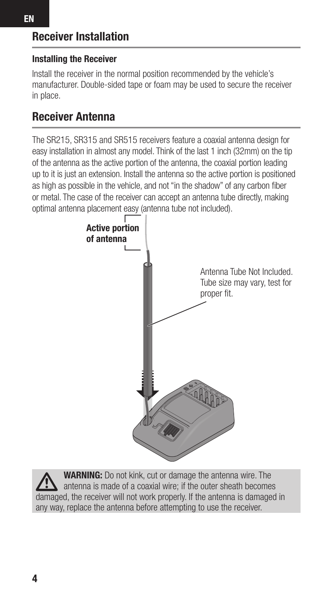### **Installing the Receiver**

Install the receiver in the normal position recommended by the vehicle's manufacturer. Double-sided tape or foam may be used to secure the receiver in place.

## **Receiver Antenna**

The SR215, SR315 and SR515 receivers feature a coaxial antenna design for easy installation in almost any model. Think of the last 1 inch (32mm) on the tip of the antenna as the active portion of the antenna, the coaxial portion leading up to it is just an extension. Install the antenna so the active portion is positioned as high as possible in the vehicle, and not "in the shadow" of any carbon fiber or metal. The case of the receiver can accept an antenna tube directly, making optimal antenna placement easy (antenna tube not included).



**WARNING:** Do not kink, cut or damage the antenna wire. The antenna is made of a coaxial wire; if the outer sheath becomes damaged, the receiver will not work properly. If the antenna is damaged in any way, replace the antenna before attempting to use the receiver.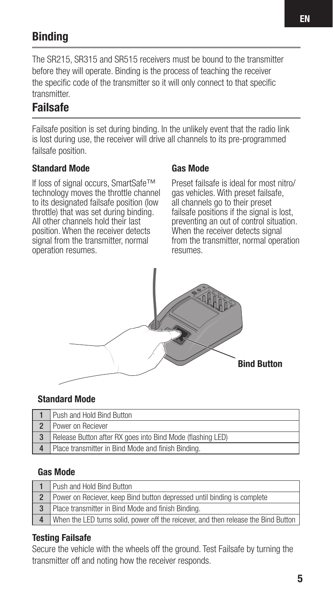# **Binding**

The SR215, SR315 and SR515 receivers must be bound to the transmitter before they will operate. Binding is the process of teaching the receiver the specific code of the transmitter so it will only connect to that specific transmitter.

# **Failsafe**

Failsafe position is set during binding. In the unlikely event that the radio link is lost during use, the receiver will drive all channels to its pre-programmed failsafe position.

#### **Standard Mode**

If loss of signal occurs, SmartSafe™ technology moves the throttle channel to its designated failsafe position (low throttle) that was set during binding. All other channels hold their last position. When the receiver detects signal from the transmitter, normal operation resumes.

#### **Gas Mode**

Preset failsafe is ideal for most nitro/ gas vehicles. With preset failsafe, all channels go to their preset failsafe positions if the signal is lost, preventing an out of control situation. When the receiver detects signal from the transmitter, normal operation resumes.



#### **Standard Mode**

| Push and Hold Bind Button                                  |
|------------------------------------------------------------|
| Power on Reciever                                          |
| Release Button after RX goes into Bind Mode (flashing LED) |
| Place transmitter in Bind Mode and finish Binding.         |

#### **Gas Mode**

| Push and Hold Bind Button                                                          |
|------------------------------------------------------------------------------------|
| Power on Reciever, keep Bind button depressed until binding is complete            |
| Place transmitter in Bind Mode and finish Binding.                                 |
| When the LED turns solid, power off the reicever, and then release the Bind Button |

#### **Testing Failsafe**

Secure the vehicle with the wheels off the ground. Test Failsafe by turning the transmitter off and noting how the receiver responds.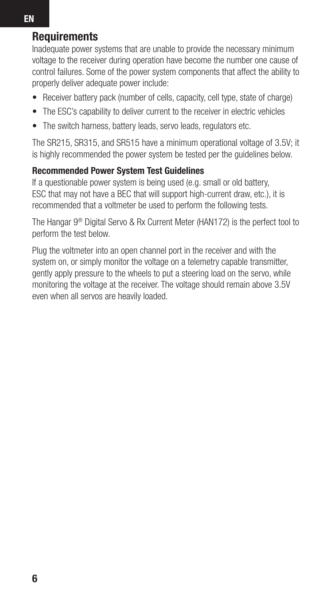## **Requirements**

Inadequate power systems that are unable to provide the necessary minimum voltage to the receiver during operation have become the number one cause of control failures. Some of the power system components that affect the ability to properly deliver adequate power include:

- Receiver battery pack (number of cells, capacity, cell type, state of charge)
- The ESC's capability to deliver current to the receiver in electric vehicles
- The switch harness, battery leads, servo leads, regulators etc.

The SR215, SR315, and SR515 have a minimum operational voltage of 3.5V; it is highly recommended the power system be tested per the guidelines below.

#### **Recommended Power System Test Guidelines**

If a questionable power system is being used (e.g. small or old battery, ESC that may not have a BEC that will support high-current draw, etc.), it is recommended that a voltmeter be used to perform the following tests.

The Hangar 9® Digital Servo & Rx Current Meter (HAN172) is the perfect tool to perform the test below.

Plug the voltmeter into an open channel port in the receiver and with the system on, or simply monitor the voltage on a telemetry capable transmitter. gently apply pressure to the wheels to put a steering load on the servo, while monitoring the voltage at the receiver. The voltage should remain above 3.5V even when all servos are heavily loaded.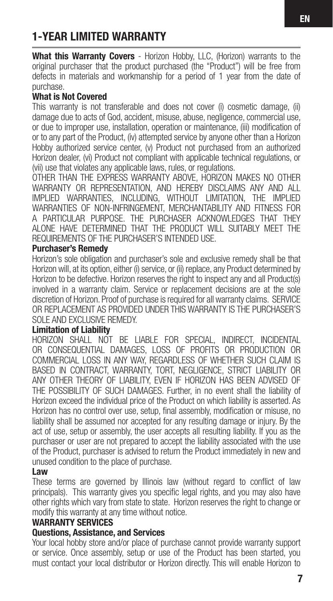# **1-YEAR LIMITED WARRANTY**

**What this Warranty Covers** - Horizon Hobby, LLC, (Horizon) warrants to the original purchaser that the product purchased (the "Product") will be free from defects in materials and workmanship for a period of 1 year from the date of purchase.

#### **What is Not Covered**

This warranty is not transferable and does not cover (i) cosmetic damage, (ii) damage due to acts of God, accident, misuse, abuse, negligence, commercial use, or due to improper use, installation, operation or maintenance, (iii) modification of or to any part of the Product, (iv) attempted service by anyone other than a Horizon Hobby authorized service center, (v) Product not purchased from an authorized Horizon dealer, (vi) Product not compliant with applicable technical regulations, or (vii) use that violates any applicable laws, rules, or regulations.

OTHER THAN THE EXPRESS WARRANTY ABOVE, HORIZON MAKES NO OTHER WARRANTY OR REPRESENTATION, AND HEREBY DISCLAIMS ANY AND ALL IMPLIED WARRANTIES, INCLUDING, WITHOUT LIMITATION, THE IMPLIED WARRANTIES OF NON-INFRINGEMENT, MERCHANTABILITY AND FITNESS FOR A PARTICULAR PURPOSE. THE PURCHASER ACKNOWLEDGES THAT THEY ALONE HAVE DETERMINED THAT THE PRODUCT WILL SUITABLY MEET THE REQUIREMENTS OF THE PURCHASER'S INTENDED USE.

#### **Purchaser's Remedy**

Horizon's sole obligation and purchaser's sole and exclusive remedy shall be that Horizon will, at its option, either (i) service, or (ii) replace, any Product determined by Horizon to be defective. Horizon reserves the right to inspect any and all Product(s) involved in a warranty claim. Service or replacement decisions are at the sole discretion of Horizon. Proof of purchase is required for all warranty claims. SERVICE OR REPLACEMENT AS PROVIDED UNDER THIS WARRANTY IS THE PURCHASER'S SOLE AND EXCLUSIVE REMEDY.

#### **Limitation of Liability**

HORIZON SHALL NOT BE LIABLE FOR SPECIAL, INDIRECT, INCIDENTAL OR CONSEQUENTIAL DAMAGES, LOSS OF PROFITS OR PRODUCTION OR COMMERCIAL LOSS IN ANY WAY, REGARDLESS OF WHETHER SUCH CLAIM IS BASED IN CONTRACT, WARRANTY, TORT, NEGLIGENCE, STRICT LIABILITY OR ANY OTHER THEORY OF LIABILITY, EVEN IF HORIZON HAS BEEN ADVISED OF THE POSSIBILITY OF SUCH DAMAGES. Further, in no event shall the liability of Horizon exceed the individual price of the Product on which liability is asserted. As Horizon has no control over use, setup, final assembly, modification or misuse, no liability shall be assumed nor accepted for any resulting damage or injury. By the act of use, setup or assembly, the user accepts all resulting liability. If you as the purchaser or user are not prepared to accept the liability associated with the use of the Product, purchaser is advised to return the Product immediately in new and unused condition to the place of purchase.

#### **Law**

These terms are governed by Illinois law (without regard to conflict of law principals). This warranty gives you specific legal rights, and you may also have other rights which vary from state to state. Horizon reserves the right to change or modify this warranty at any time without notice.

#### **WARRANTY SERVICES**

#### **Questions, Assistance, and Services**

Your local hobby store and/or place of purchase cannot provide warranty support or service. Once assembly, setup or use of the Product has been started, you must contact your local distributor or Horizon directly. This will enable Horizon to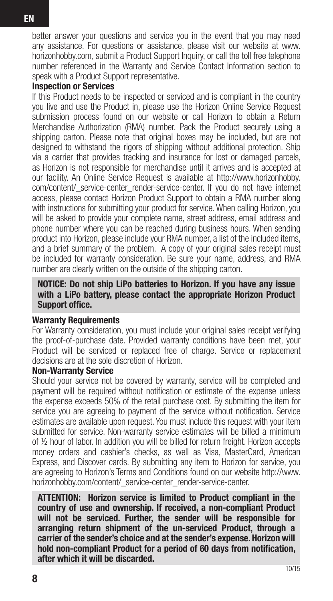better answer your questions and service you in the event that you may need any assistance. For questions or assistance, please visit our website at www. horizonhobby.com, submit a Product Support Inquiry, or call the toll free telephone number referenced in the Warranty and Service Contact Information section to speak with a Product Support representative.

#### **Inspection or Services**

If this Product needs to be inspected or serviced and is compliant in the country you live and use the Product in, please use the Horizon Online Service Request submission process found on our website or call Horizon to obtain a Return Merchandise Authorization (RMA) number. Pack the Product securely using a shipping carton. Please note that original boxes may be included, but are not designed to withstand the rigors of shipping without additional protection. Ship via a carrier that provides tracking and insurance for lost or damaged parcels, as Horizon is not responsible for merchandise until it arrives and is accepted at our facility. An Online Service Request is available at http://www.horizonhobby. com/content/ service-center render-service-center. If you do not have internet access, please contact Horizon Product Support to obtain a RMA number along with instructions for submitting your product for service. When calling Horizon, you will be asked to provide your complete name, street address, email address and phone number where you can be reached during business hours. When sending product into Horizon, please include your RMA number, a list of the included items, and a brief summary of the problem. A copy of your original sales receipt must be included for warranty consideration. Be sure your name, address, and RMA number are clearly written on the outside of the shipping carton.

#### **NOTICE: Do not ship LiPo batteries to Horizon. If you have any issue with a LiPo battery, please contact the appropriate Horizon Product Support office.**

#### **Warranty Requirements**

For Warranty consideration, you must include your original sales receipt verifying the proof-of-purchase date. Provided warranty conditions have been met, your Product will be serviced or replaced free of charge. Service or replacement decisions are at the sole discretion of Horizon.

#### **Non-Warranty Service**

Should your service not be covered by warranty, service will be completed and payment will be required without notification or estimate of the expense unless the expense exceeds 50% of the retail purchase cost. By submitting the item for service you are agreeing to payment of the service without notification. Service estimates are available upon request. You must include this request with your item submitted for service. Non-warranty service estimates will be billed a minimum of ½ hour of labor. In addition you will be billed for return freight. Horizon accepts money orders and cashier's checks, as well as Visa, MasterCard, American Express, and Discover cards. By submitting any item to Horizon for service, you are agreeing to Horizon's Terms and Conditions found on our website http://www. horizonhobby.com/content/ service-center\_render-service-center.

**ATTENTION: Horizon service is limited to Product compliant in the country of use and ownership. If received, a non-compliant Product will not be serviced. Further, the sender will be responsible for arranging return shipment of the un-serviced Product, through a carrier of the sender's choice and at the sender's expense. Horizon will**  hold non-compliant Product for a period of 60 days from notification. **after which it will be discarded.**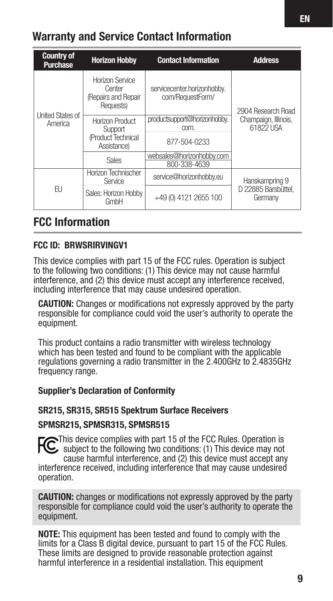# **Warranty and Service Contact Information**

| <b>Country of</b><br><b>Purchase</b> | <b>Horizon Hobby</b>                                            | <b>Contact Information</b>                      | <b>Address</b>                                          |
|--------------------------------------|-----------------------------------------------------------------|-------------------------------------------------|---------------------------------------------------------|
| <b>United States of</b><br>America   | Horizon Service<br>Center<br>(Repairs and Repair<br>Requests)   | servicecenter.horizonhobby.<br>com/RequestForm/ | 2904 Research Road<br>Champaign, Illinois,<br>61822 USA |
|                                      | Horizon Product<br>Support<br>(Product Technical<br>Assistance) | productsupport@horizonhobby.<br>com.            |                                                         |
|                                      |                                                                 | 877-504-0233                                    |                                                         |
|                                      | Sales                                                           | websales@horizonhobbv.com<br>800-338-4639       |                                                         |
| FU                                   | Horizon Technischer<br>Service                                  | service@horizonhobby.eu                         | Hanskampring 9<br>D 22885 Barsbüttel.<br>Germany        |
|                                      | Sales: Horizon Hobby<br>GmbH                                    | +49 (0) 4121 2655 100                           |                                                         |

## **FCC Information**

#### **FCC ID: BRWSRIRVINGV1**

This device complies with part 15 of the FCC rules. Operation is subject to the following two conditions: (1) This device may not cause harmful interference, and (2) this device must accept any interference received, including interference that may cause undesired operation.

**CAUTION:** Changes or modifications not expressly approved by the party responsible for compliance could void the user's authority to operate the equipment.

This product contains a radio transmitter with wireless technology which has been tested and found to be compliant with the applicable regulations governing a radio transmitter in the 2.400GHz to 2.4835GHz frequency range.

#### **Supplier's Declaration of Conformity**

#### **SR215, SR315, SR515 Spektrum Surface Receivers**

#### **SPMSR215, SPMSR315, SPMSR515**

**C**This device complies with part 15 of the FCC Rules. Operation is subject to the following two conditions: (1) This device may not cause harmful interference, and (2) this device must accept any interference received, including interference that may cause undesired operation.

**CAUTION:** changes or modifications not expressly approved by the party responsible for compliance could void the user's authority to operate the equipment.

**NOTE:** This equipment has been tested and found to comply with the limits for a Class B digital device, pursuant to part 15 of the FCC Rules. These limits are designed to provide reasonable protection against harmful interference in a residential installation. This equipment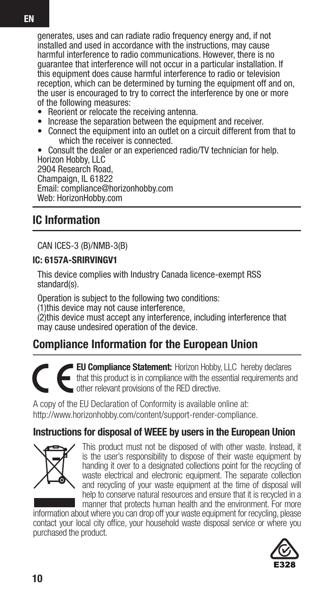generates, uses and can radiate radio frequency energy and, if not installed and used in accordance with the instructions, may cause harmful interference to radio communications. However, there is no guarantee that interference will not occur in a particular installation. If this equipment does cause harmful interference to radio or television reception, which can be determined by turning the equipment off and on, the user is encouraged to try to correct the interference by one or more of the following measures:

- Reorient or relocate the receiving antenna.
- Increase the separation between the equipment and receiver.
- Connect the equipment into an outlet on a circuit different from that to which the receiver is connected.

• Consult the dealer or an experienced radio/TV technician for help. Horizon Hobby, LLC 2904 Research Road, Champaign, IL 61822 Email: compliance@horizonhobby.com Web: HorizonHobby.com

## **IC Information**

CAN ICES-3 (B)/NMB-3(B)

#### **IC: 6157A-SRIRVINGV1**

This device complies with Industry Canada licence-exempt RSS standard(s).

Operation is subject to the following two conditions:

(1)this device may not cause interference.

(2)this device must accept any interference, including interference that may cause undesired operation of the device.

## **Compliance Information for the European Union**

**EU Compliance Statement:** Horizon Hobby, LLC hereby declares that this product is in compliance with the essential requirements and other relevant provisions of the RED directive.

A copy of the EU Declaration of Conformity is available online at: http://www.horizonhobby.com/content/support-render-compliance.

## **Instructions for disposal of WEEE by users in the European Union**



This product must not be disposed of with other waste. Instead, it is the user's responsibility to dispose of their waste equipment by handing it over to a designated collections point for the recycling of waste electrical and electronic equipment. The separate collection and recycling of your waste equipment at the time of disposal will help to conserve natural resources and ensure that it is recycled in a manner that protects human health and the environment. For more

information about where you can drop off your waste equipment for recycling, please contact your local city office, your household waste disposal service or where you purchased the product.